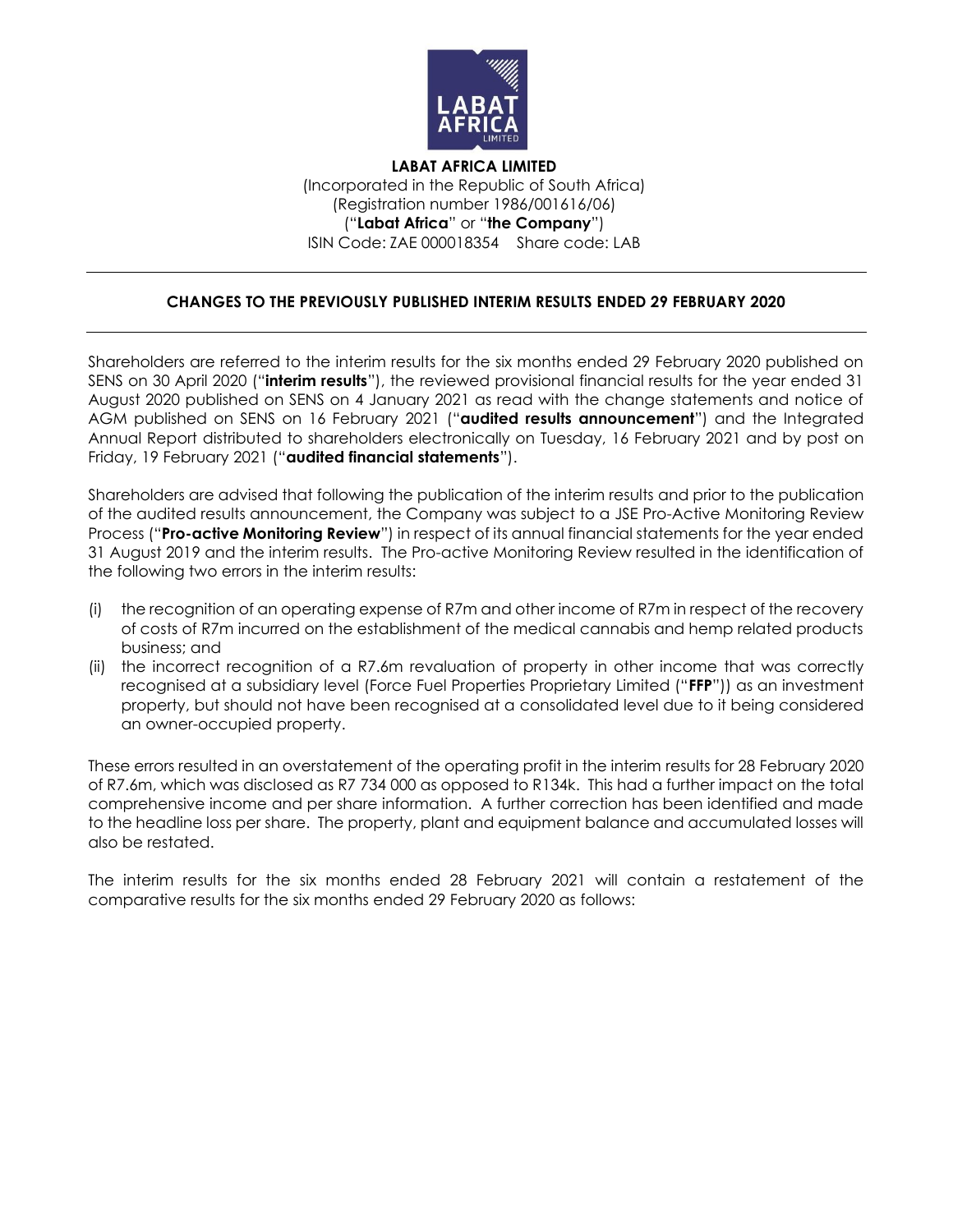

**LABAT AFRICA LIMITED** (Incorporated in the Republic of South Africa) (Registration number 1986/001616/06) ("**Labat Africa**" or "**the Company**") ISIN Code: ZAE 000018354 Share code: LAB

## **CHANGES TO THE PREVIOUSLY PUBLISHED INTERIM RESULTS ENDED 29 FEBRUARY 2020**

Shareholders are referred to the interim results for the six months ended 29 February 2020 published on SENS on 30 April 2020 ("**interim results**"), the reviewed provisional financial results for the year ended 31 August 2020 published on SENS on 4 January 2021 as read with the change statements and notice of AGM published on SENS on 16 February 2021 ("**audited results announcement**") and the Integrated Annual Report distributed to shareholders electronically on Tuesday, 16 February 2021 and by post on Friday, 19 February 2021 ("**audited financial statements**").

Shareholders are advised that following the publication of the interim results and prior to the publication of the audited results announcement, the Company was subject to a JSE Pro-Active Monitoring Review Process ("**Pro-active Monitoring Review**") in respect of its annual financial statements for the year ended 31 August 2019 and the interim results. The Pro-active Monitoring Review resulted in the identification of the following two errors in the interim results:

- (i) the recognition of an operating expense of R7m and other income of R7m in respect of the recovery of costs of R7m incurred on the establishment of the medical cannabis and hemp related products business; and
- (ii) the incorrect recognition of a R7.6m revaluation of property in other income that was correctly recognised at a subsidiary level (Force Fuel Properties Proprietary Limited ("**FFP**")) as an investment property, but should not have been recognised at a consolidated level due to it being considered an owner-occupied property.

These errors resulted in an overstatement of the operating profit in the interim results for 28 February 2020 of R7.6m, which was disclosed as R7 734 000 as opposed to R134k. This had a further impact on the total comprehensive income and per share information. A further correction has been identified and made to the headline loss per share. The property, plant and equipment balance and accumulated losses will also be restated.

The interim results for the six months ended 28 February 2021 will contain a restatement of the comparative results for the six months ended 29 February 2020 as follows: